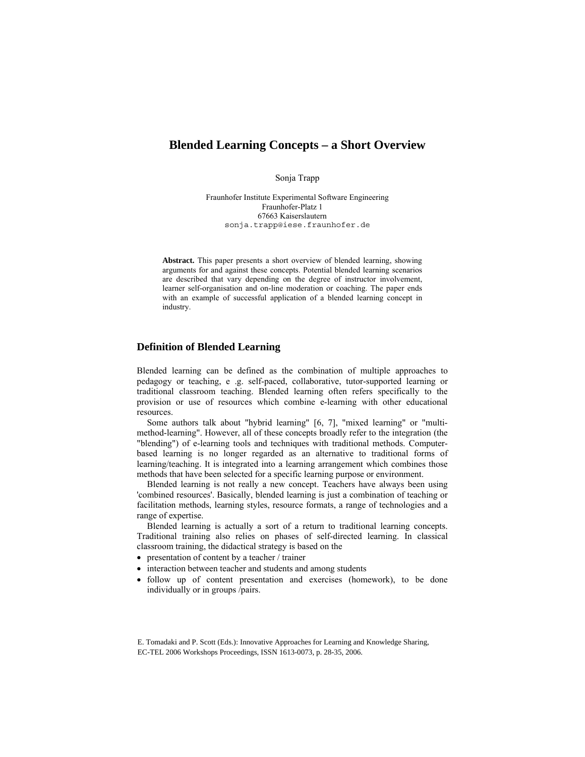# **Blended Learning Concepts – a Short Overview**

Sonja Trapp

Fraunhofer Institute Experimental Software Engineering Fraunhofer-Platz 1 67663 Kaiserslautern sonja.trapp@iese.fraunhofer.de

**Abstract.** This paper presents a short overview of blended learning, showing arguments for and against these concepts. Potential blended learning scenarios are described that vary depending on the degree of instructor involvement, learner self-organisation and on-line moderation or coaching. The paper ends with an example of successful application of a blended learning concept in industry.

# **Definition of Blended Learning**

Blended learning can be defined as the combination of multiple approaches to pedagogy or teaching, e .g. self-paced, collaborative, tutor-supported learning or traditional classroom teaching. Blended learning often refers specifically to the provision or use of resources which combine e-learning with other educational resources.

Some authors talk about "hybrid learning" [6, 7], "mixed learning" or "multimethod-learning". However, all of these concepts broadly refer to the integration (the "blending") of e-learning tools and techniques with traditional methods. Computerbased learning is no longer regarded as an alternative to traditional forms of learning/teaching. It is integrated into a learning arrangement which combines those methods that have been selected for a specific learning purpose or environment.

Blended learning is not really a new concept. Teachers have always been using 'combined resources'. Basically, blended learning is just a combination of teaching or facilitation methods, learning styles, resource formats, a range of technologies and a range of expertise.

Blended learning is actually a sort of a return to traditional learning concepts. Traditional training also relies on phases of self-directed learning. In classical classroom training, the didactical strategy is based on the

- presentation of content by a teacher / trainer
- interaction between teacher and students and among students
- follow up of content presentation and exercises (homework), to be done individually or in groups /pairs.

E. Tomadaki and P. Scott (Eds.): Innovative Approaches for Learning and Knowledge Sharing, EC-TEL 2006 Workshops Proceedings, ISSN 1613-0073, p. 28-35, 2006.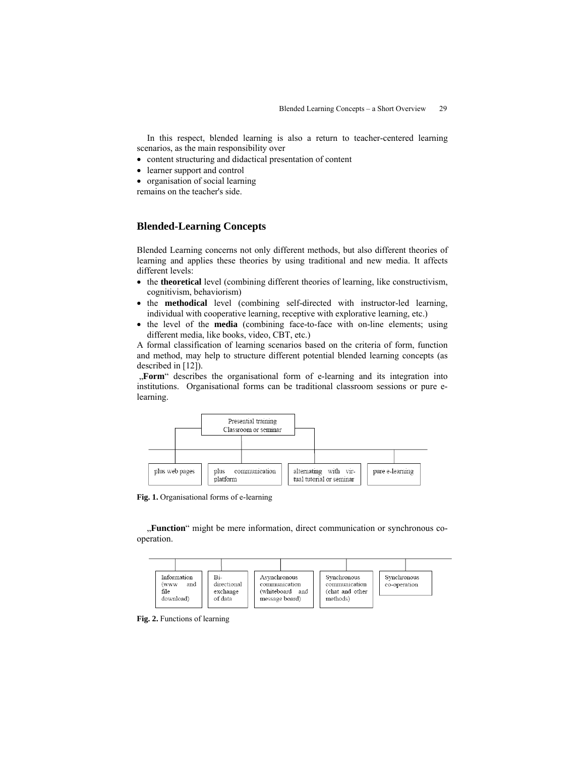In this respect, blended learning is also a return to teacher-centered learning scenarios, as the main responsibility over

- content structuring and didactical presentation of content
- learner support and control
- organisation of social learning

remains on the teacher's side.

# **Blended-Learning Concepts**

Blended Learning concerns not only different methods, but also different theories of learning and applies these theories by using traditional and new media. It affects different levels:

- the **theoretical** level (combining different theories of learning, like constructivism, cognitivism, behaviorism)
- the **methodical** level (combining self-directed with instructor-led learning, individual with cooperative learning, receptive with explorative learning, etc.)
- the level of the **media** (combining face-to-face with on-line elements; using different media, like books, video, CBT, etc.)

A formal classification of learning scenarios based on the criteria of form, function and method, may help to structure different potential blended learning concepts (as described in [12]).

 "**Form**" describes the organisational form of e-learning and its integration into institutions. Organisational forms can be traditional classroom sessions or pure elearning.



**Fig. 1.** Organisational forms of e-learning

"Function" might be mere information, direct communication or synchronous cooperation.



**Fig. 2.** Functions of learning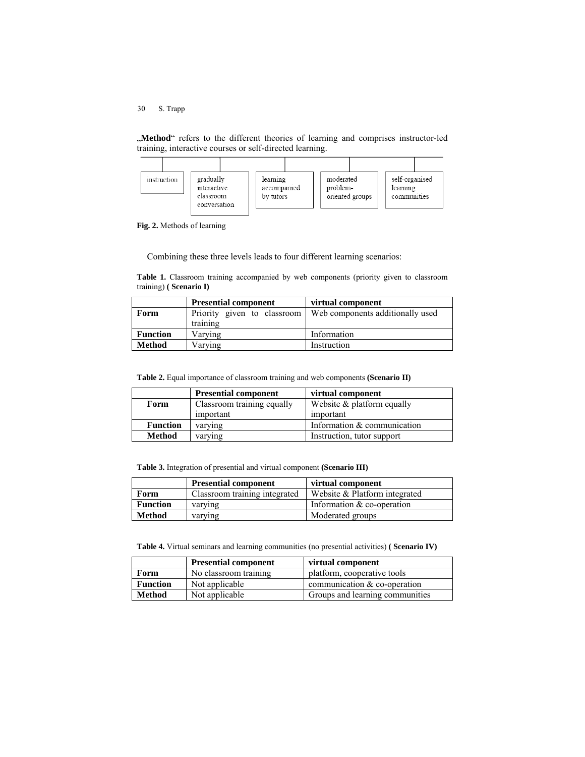30 S. Trapp

"**Method**" refers to the different theories of learning and comprises instructor-led training, interactive courses or self-directed learning.



**Fig. 2.** Methods of learning

Combining these three levels leads to four different learning scenarios:

**Table 1.** Classroom training accompanied by web components (priority given to classroom training) **( Scenario I)**

|                 | <b>Presential component</b> | virtual component                |
|-----------------|-----------------------------|----------------------------------|
| Form            | Priority given to classroom | Web components additionally used |
|                 | training                    |                                  |
| <b>Function</b> | Varving                     | Information                      |
| <b>Method</b>   | Varving                     | Instruction                      |

**Table 2.** Equal importance of classroom training and web components **(Scenario II)**

|                 | <b>Presential component</b> | virtual component             |
|-----------------|-----------------------------|-------------------------------|
| Form            | Classroom training equally  | Website $&$ platform equally  |
|                 | important                   | important                     |
| <b>Function</b> | varying                     | Information $&$ communication |
| Method          | varying                     | Instruction, tutor support    |

**Table 3.** Integration of presential and virtual component **(Scenario III)**

|                 | <b>Presential component</b>   | virtual component             |
|-----------------|-------------------------------|-------------------------------|
| Form            | Classroom training integrated | Website & Platform integrated |
| <b>Function</b> | varying                       | Information $&$ co-operation  |
| Method          | varying                       | Moderated groups              |

**Table 4.** Virtual seminars and learning communities (no presential activities) **( Scenario IV)**

|                 | <b>Presential component</b> | virtual component               |
|-----------------|-----------------------------|---------------------------------|
| Form            | No classroom training       | platform, cooperative tools     |
| <b>Function</b> | Not applicable              | communication $&$ co-operation  |
| <b>Method</b>   | Not applicable              | Groups and learning communities |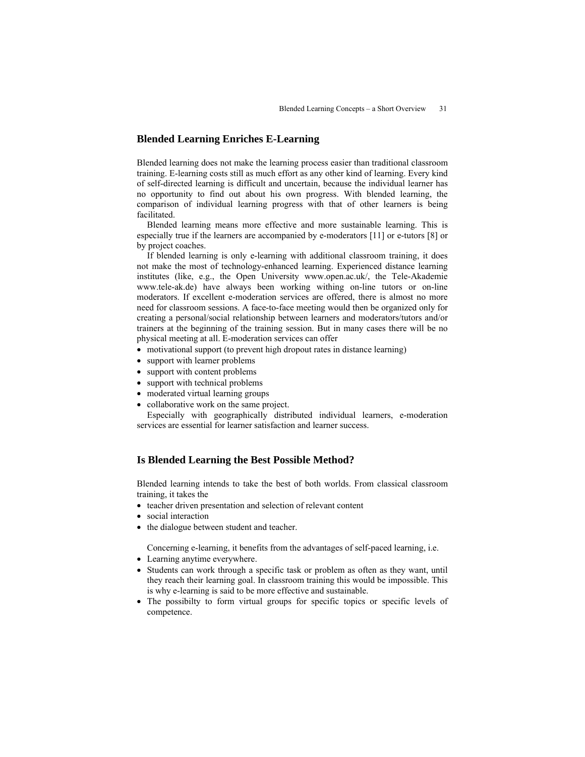# **Blended Learning Enriches E-Learning**

Blended learning does not make the learning process easier than traditional classroom training. E-learning costs still as much effort as any other kind of learning. Every kind of self-directed learning is difficult and uncertain, because the individual learner has no opportunity to find out about his own progress. With blended learning, the comparison of individual learning progress with that of other learners is being facilitated.

Blended learning means more effective and more sustainable learning. This is especially true if the learners are accompanied by e-moderators [11] or e-tutors [8] or by project coaches.

If blended learning is only e-learning with additional classroom training, it does not make the most of technology-enhanced learning. Experienced distance learning institutes (like, e.g., the Open University www.open.ac.uk/, the Tele-Akademie www.tele-ak.de) have always been working withing on-line tutors or on-line moderators. If excellent e-moderation services are offered, there is almost no more need for classroom sessions. A face-to-face meeting would then be organized only for creating a personal/social relationship between learners and moderators/tutors and/or trainers at the beginning of the training session. But in many cases there will be no physical meeting at all. E-moderation services can offer

- motivational support (to prevent high dropout rates in distance learning)
- support with learner problems
- support with content problems
- support with technical problems
- moderated virtual learning groups
- collaborative work on the same project.

Especially with geographically distributed individual learners, e-moderation services are essential for learner satisfaction and learner success.

# **Is Blended Learning the Best Possible Method?**

Blended learning intends to take the best of both worlds. From classical classroom training, it takes the

- teacher driven presentation and selection of relevant content
- social interaction
- the dialogue between student and teacher.

Concerning e-learning, it benefits from the advantages of self-paced learning, i.e.

- Learning anytime everywhere.
- Students can work through a specific task or problem as often as they want, until they reach their learning goal. In classroom training this would be impossible. This is why e-learning is said to be more effective and sustainable.
- The possibilty to form virtual groups for specific topics or specific levels of competence.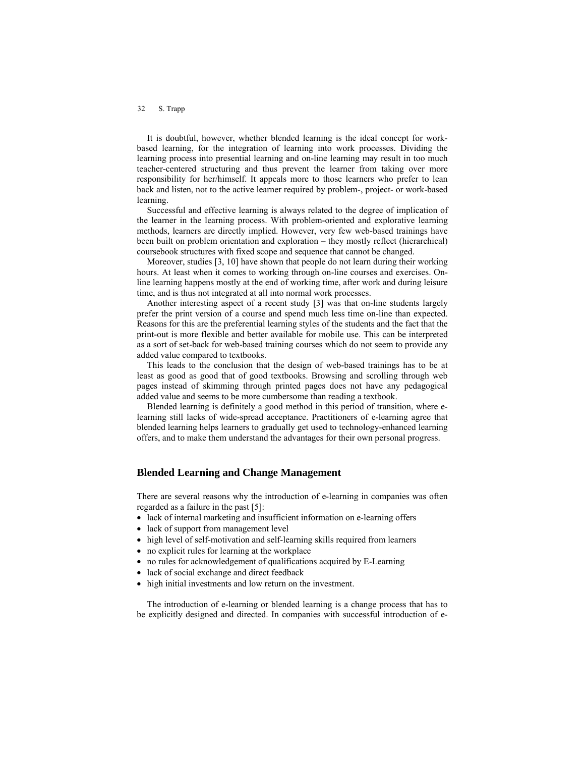#### 32 S. Trapp

It is doubtful, however, whether blended learning is the ideal concept for workbased learning, for the integration of learning into work processes. Dividing the learning process into presential learning and on-line learning may result in too much teacher-centered structuring and thus prevent the learner from taking over more responsibility for her/himself. It appeals more to those learners who prefer to lean back and listen, not to the active learner required by problem-, project- or work-based learning.

Successful and effective learning is always related to the degree of implication of the learner in the learning process. With problem-oriented and explorative learning methods, learners are directly implied. However, very few web-based trainings have been built on problem orientation and exploration – they mostly reflect (hierarchical) coursebook structures with fixed scope and sequence that cannot be changed.

Moreover, studies [3, 10] have shown that people do not learn during their working hours. At least when it comes to working through on-line courses and exercises. Online learning happens mostly at the end of working time, after work and during leisure time, and is thus not integrated at all into normal work processes.

Another interesting aspect of a recent study [3] was that on-line students largely prefer the print version of a course and spend much less time on-line than expected. Reasons for this are the preferential learning styles of the students and the fact that the print-out is more flexible and better available for mobile use. This can be interpreted as a sort of set-back for web-based training courses which do not seem to provide any added value compared to textbooks.

This leads to the conclusion that the design of web-based trainings has to be at least as good as good that of good textbooks. Browsing and scrolling through web pages instead of skimming through printed pages does not have any pedagogical added value and seems to be more cumbersome than reading a textbook.

Blended learning is definitely a good method in this period of transition, where elearning still lacks of wide-spread acceptance. Practitioners of e-learning agree that blended learning helps learners to gradually get used to technology-enhanced learning offers, and to make them understand the advantages for their own personal progress.

# **Blended Learning and Change Management**

There are several reasons why the introduction of e-learning in companies was often regarded as a failure in the past [5]:

- lack of internal marketing and insufficient information on e-learning offers
- lack of support from management level
- high level of self-motivation and self-learning skills required from learners
- no explicit rules for learning at the workplace
- no rules for acknowledgement of qualifications acquired by E-Learning
- lack of social exchange and direct feedback
- high initial investments and low return on the investment.

The introduction of e-learning or blended learning is a change process that has to be explicitly designed and directed. In companies with successful introduction of e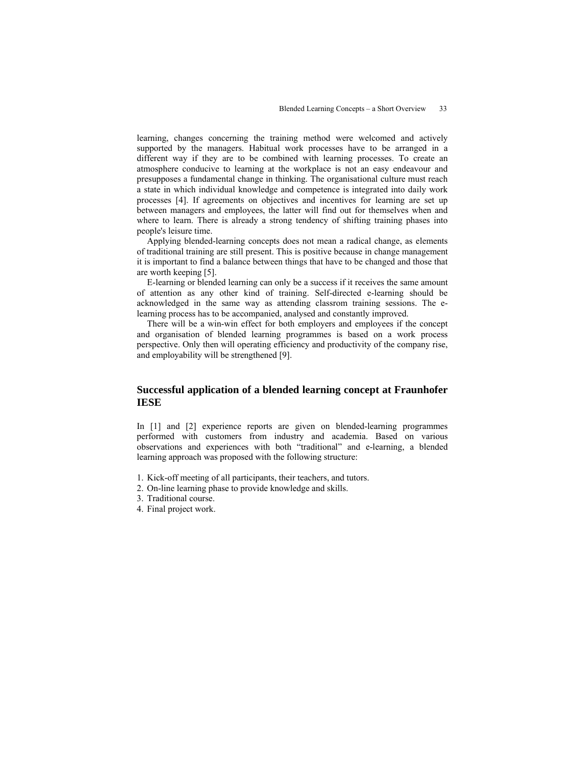learning, changes concerning the training method were welcomed and actively supported by the managers. Habitual work processes have to be arranged in a different way if they are to be combined with learning processes. To create an atmosphere conducive to learning at the workplace is not an easy endeavour and presupposes a fundamental change in thinking. The organisational culture must reach a state in which individual knowledge and competence is integrated into daily work processes [4]. If agreements on objectives and incentives for learning are set up between managers and employees, the latter will find out for themselves when and where to learn. There is already a strong tendency of shifting training phases into people's leisure time.

Applying blended-learning concepts does not mean a radical change, as elements of traditional training are still present. This is positive because in change management it is important to find a balance between things that have to be changed and those that are worth keeping [5].

E-learning or blended learning can only be a success if it receives the same amount of attention as any other kind of training. Self-directed e-learning should be acknowledged in the same way as attending classrom training sessions. The elearning process has to be accompanied, analysed and constantly improved.

There will be a win-win effect for both employers and employees if the concept and organisation of blended learning programmes is based on a work process perspective. Only then will operating efficiency and productivity of the company rise, and employability will be strengthened [9].

# **Successful application of a blended learning concept at Fraunhofer IESE**

In [1] and [2] experience reports are given on blended-learning programmes performed with customers from industry and academia. Based on various observations and experiences with both "traditional" and e-learning, a blended learning approach was proposed with the following structure:

- 1. Kick-off meeting of all participants, their teachers, and tutors.
- 2. On-line learning phase to provide knowledge and skills.
- 3. Traditional course.
- 4. Final project work.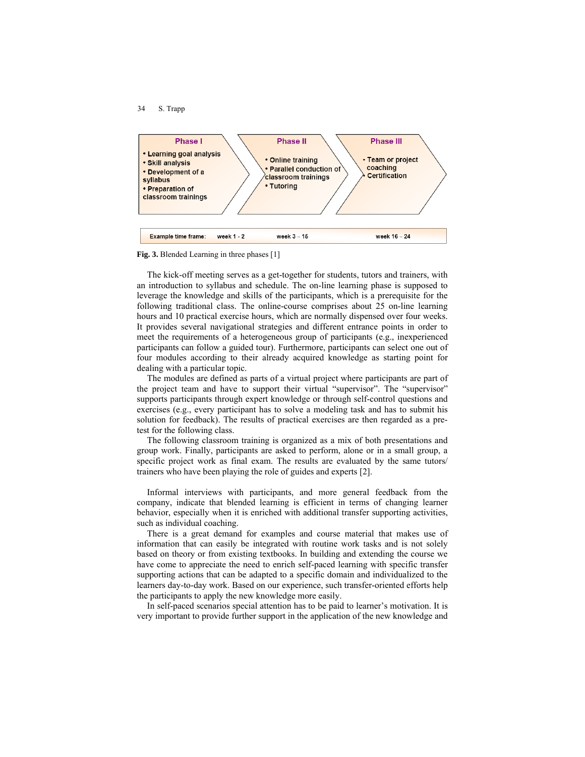



**Fig. 3.** Blended Learning in three phases [1]

The kick-off meeting serves as a get-together for students, tutors and trainers, with an introduction to syllabus and schedule. The on-line learning phase is supposed to leverage the knowledge and skills of the participants, which is a prerequisite for the following traditional class. The online-course comprises about 25 on-line learning hours and 10 practical exercise hours, which are normally dispensed over four weeks. It provides several navigational strategies and different entrance points in order to meet the requirements of a heterogeneous group of participants (e.g., inexperienced participants can follow a guided tour). Furthermore, participants can select one out of four modules according to their already acquired knowledge as starting point for dealing with a particular topic.

The modules are defined as parts of a virtual project where participants are part of the project team and have to support their virtual "supervisor". The "supervisor" supports participants through expert knowledge or through self-control questions and exercises (e.g., every participant has to solve a modeling task and has to submit his solution for feedback). The results of practical exercises are then regarded as a pretest for the following class.

The following classroom training is organized as a mix of both presentations and group work. Finally, participants are asked to perform, alone or in a small group, a specific project work as final exam. The results are evaluated by the same tutors/ trainers who have been playing the role of guides and experts [2].

Informal interviews with participants, and more general feedback from the company, indicate that blended learning is efficient in terms of changing learner behavior, especially when it is enriched with additional transfer supporting activities, such as individual coaching.

There is a great demand for examples and course material that makes use of information that can easily be integrated with routine work tasks and is not solely based on theory or from existing textbooks. In building and extending the course we have come to appreciate the need to enrich self-paced learning with specific transfer supporting actions that can be adapted to a specific domain and individualized to the learners day-to-day work. Based on our experience, such transfer-oriented efforts help the participants to apply the new knowledge more easily.

In self-paced scenarios special attention has to be paid to learner's motivation. It is very important to provide further support in the application of the new knowledge and